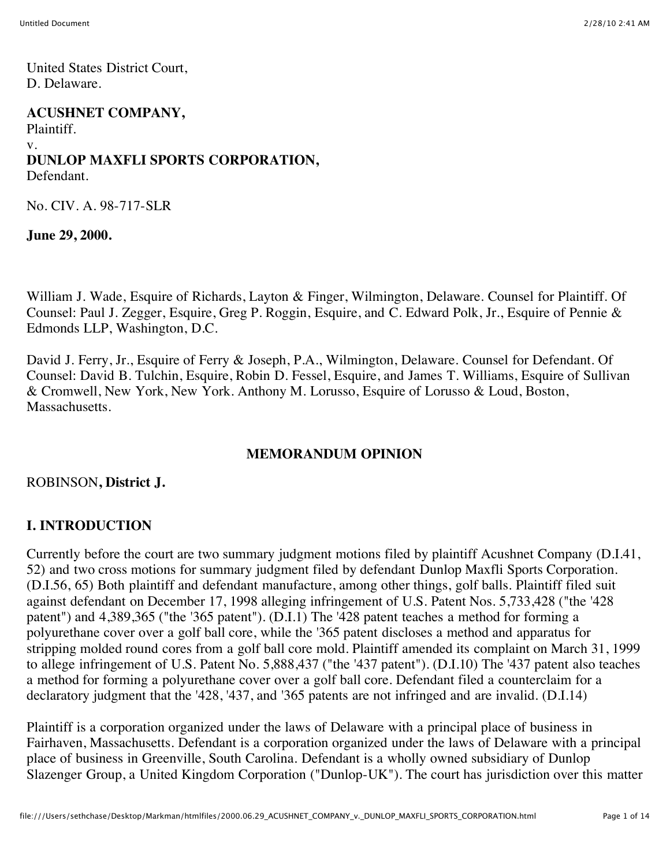United States District Court, D. Delaware.

#### **ACUSHNET COMPANY,**

Plaintiff. v. **DUNLOP MAXFLI SPORTS CORPORATION,**

Defendant.

No. CIV. A. 98-717-SLR

**June 29, 2000.**

William J. Wade, Esquire of Richards, Layton & Finger, Wilmington, Delaware. Counsel for Plaintiff. Of Counsel: Paul J. Zegger, Esquire, Greg P. Roggin, Esquire, and C. Edward Polk, Jr., Esquire of Pennie & Edmonds LLP, Washington, D.C.

David J. Ferry, Jr., Esquire of Ferry & Joseph, P.A., Wilmington, Delaware. Counsel for Defendant. Of Counsel: David B. Tulchin, Esquire, Robin D. Fessel, Esquire, and James T. Williams, Esquire of Sullivan & Cromwell, New York, New York. Anthony M. Lorusso, Esquire of Lorusso & Loud, Boston, Massachusetts.

#### **MEMORANDUM OPINION**

ROBINSON**, District J.**

#### **I. INTRODUCTION**

Currently before the court are two summary judgment motions filed by plaintiff Acushnet Company (D.I.41, 52) and two cross motions for summary judgment filed by defendant Dunlop Maxfli Sports Corporation. (D.I.56, 65) Both plaintiff and defendant manufacture, among other things, golf balls. Plaintiff filed suit against defendant on December 17, 1998 alleging infringement of U.S. Patent Nos. 5,733,428 ("the '428 patent") and 4,389,365 ("the '365 patent"). (D.I.1) The '428 patent teaches a method for forming a polyurethane cover over a golf ball core, while the '365 patent discloses a method and apparatus for stripping molded round cores from a golf ball core mold. Plaintiff amended its complaint on March 31, 1999 to allege infringement of U.S. Patent No. 5,888,437 ("the '437 patent"). (D.I.10) The '437 patent also teaches a method for forming a polyurethane cover over a golf ball core. Defendant filed a counterclaim for a declaratory judgment that the '428, '437, and '365 patents are not infringed and are invalid. (D.I.14)

Plaintiff is a corporation organized under the laws of Delaware with a principal place of business in Fairhaven, Massachusetts. Defendant is a corporation organized under the laws of Delaware with a principal place of business in Greenville, South Carolina. Defendant is a wholly owned subsidiary of Dunlop Slazenger Group, a United Kingdom Corporation ("Dunlop-UK"). The court has jurisdiction over this matter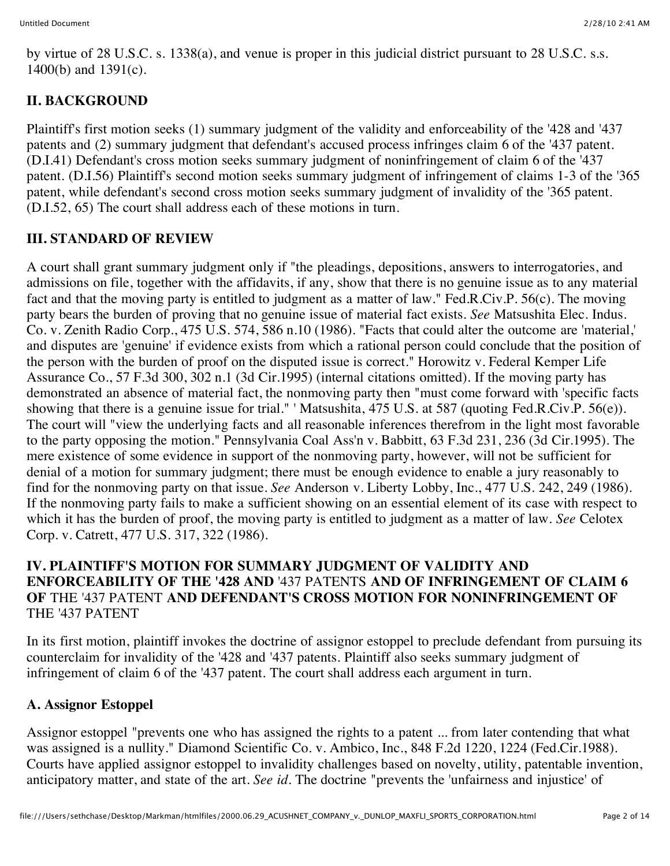by virtue of 28 U.S.C. s. 1338(a), and venue is proper in this judicial district pursuant to 28 U.S.C. s.s. 1400(b) and 1391(c).

# **II. BACKGROUND**

Plaintiff's first motion seeks (1) summary judgment of the validity and enforceability of the '428 and '437 patents and (2) summary judgment that defendant's accused process infringes claim 6 of the '437 patent. (D.I.41) Defendant's cross motion seeks summary judgment of noninfringement of claim 6 of the '437 patent. (D.I.56) Plaintiff's second motion seeks summary judgment of infringement of claims 1-3 of the '365 patent, while defendant's second cross motion seeks summary judgment of invalidity of the '365 patent. (D.I.52, 65) The court shall address each of these motions in turn.

## **III. STANDARD OF REVIEW**

A court shall grant summary judgment only if "the pleadings, depositions, answers to interrogatories, and admissions on file, together with the affidavits, if any, show that there is no genuine issue as to any material fact and that the moving party is entitled to judgment as a matter of law." Fed.R.Civ.P. 56(c). The moving party bears the burden of proving that no genuine issue of material fact exists. *See* Matsushita Elec. Indus. Co. v. Zenith Radio Corp., 475 U.S. 574, 586 n.10 (1986). "Facts that could alter the outcome are 'material,' and disputes are 'genuine' if evidence exists from which a rational person could conclude that the position of the person with the burden of proof on the disputed issue is correct." Horowitz v. Federal Kemper Life Assurance Co., 57 F.3d 300, 302 n.1 (3d Cir.1995) (internal citations omitted). If the moving party has demonstrated an absence of material fact, the nonmoving party then "must come forward with 'specific facts showing that there is a genuine issue for trial." ' Matsushita, 475 U.S. at 587 (quoting Fed.R.Civ.P. 56(e)). The court will "view the underlying facts and all reasonable inferences therefrom in the light most favorable to the party opposing the motion." Pennsylvania Coal Ass'n v. Babbitt, 63 F.3d 231, 236 (3d Cir.1995). The mere existence of some evidence in support of the nonmoving party, however, will not be sufficient for denial of a motion for summary judgment; there must be enough evidence to enable a jury reasonably to find for the nonmoving party on that issue. *See* Anderson v. Liberty Lobby, Inc., 477 U.S. 242, 249 (1986). If the nonmoving party fails to make a sufficient showing on an essential element of its case with respect to which it has the burden of proof, the moving party is entitled to judgment as a matter of law. *See* Celotex Corp. v. Catrett, 477 U.S. 317, 322 (1986).

#### **IV. PLAINTIFF'S MOTION FOR SUMMARY JUDGMENT OF VALIDITY AND ENFORCEABILITY OF THE '428 AND** '437 PATENTS **AND OF INFRINGEMENT OF CLAIM 6 OF** THE '437 PATENT **AND DEFENDANT'S CROSS MOTION FOR NONINFRINGEMENT OF** THE '437 PATENT

In its first motion, plaintiff invokes the doctrine of assignor estoppel to preclude defendant from pursuing its counterclaim for invalidity of the '428 and '437 patents. Plaintiff also seeks summary judgment of infringement of claim 6 of the '437 patent. The court shall address each argument in turn.

#### **A. Assignor Estoppel**

Assignor estoppel "prevents one who has assigned the rights to a patent ... from later contending that what was assigned is a nullity." Diamond Scientific Co. v. Ambico, Inc., 848 F.2d 1220, 1224 (Fed.Cir.1988). Courts have applied assignor estoppel to invalidity challenges based on novelty, utility, patentable invention, anticipatory matter, and state of the art. *See id.* The doctrine "prevents the 'unfairness and injustice' of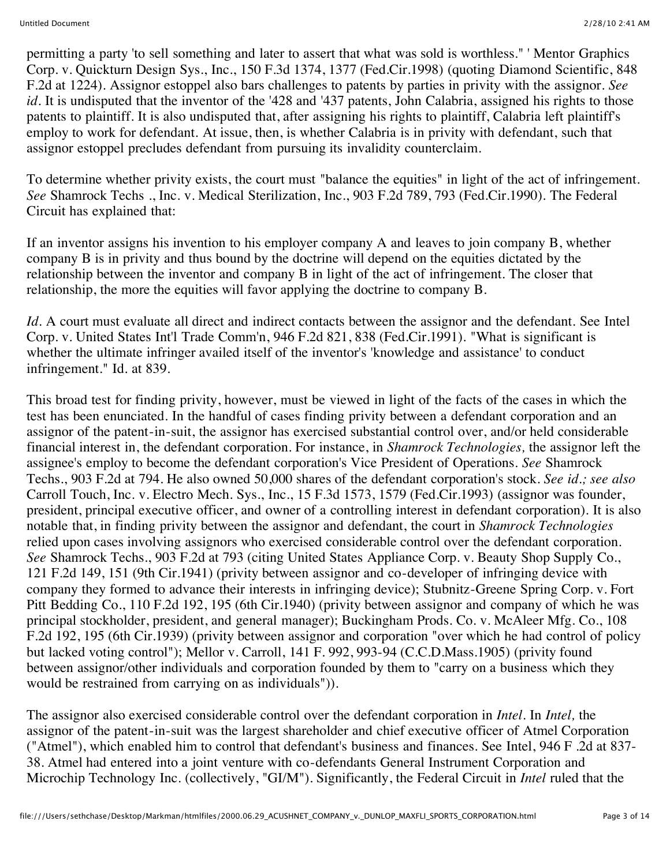permitting a party 'to sell something and later to assert that what was sold is worthless." ' Mentor Graphics Corp. v. Quickturn Design Sys., Inc., 150 F.3d 1374, 1377 (Fed.Cir.1998) (quoting Diamond Scientific, 848 F.2d at 1224). Assignor estoppel also bars challenges to patents by parties in privity with the assignor. *See id.* It is undisputed that the inventor of the '428 and '437 patents, John Calabria, assigned his rights to those patents to plaintiff. It is also undisputed that, after assigning his rights to plaintiff, Calabria left plaintiff's employ to work for defendant. At issue, then, is whether Calabria is in privity with defendant, such that assignor estoppel precludes defendant from pursuing its invalidity counterclaim.

To determine whether privity exists, the court must "balance the equities" in light of the act of infringement. *See* Shamrock Techs ., Inc. v. Medical Sterilization, Inc., 903 F.2d 789, 793 (Fed.Cir.1990). The Federal Circuit has explained that:

If an inventor assigns his invention to his employer company A and leaves to join company B, whether company B is in privity and thus bound by the doctrine will depend on the equities dictated by the relationship between the inventor and company B in light of the act of infringement. The closer that relationship, the more the equities will favor applying the doctrine to company B.

*Id.* A court must evaluate all direct and indirect contacts between the assignor and the defendant. See Intel Corp. v. United States Int'l Trade Comm'n, 946 F.2d 821, 838 (Fed.Cir.1991). "What is significant is whether the ultimate infringer availed itself of the inventor's 'knowledge and assistance' to conduct infringement." Id. at 839.

This broad test for finding privity, however, must be viewed in light of the facts of the cases in which the test has been enunciated. In the handful of cases finding privity between a defendant corporation and an assignor of the patent-in-suit, the assignor has exercised substantial control over, and/or held considerable financial interest in, the defendant corporation. For instance, in *Shamrock Technologies,* the assignor left the assignee's employ to become the defendant corporation's Vice President of Operations. *See* Shamrock Techs., 903 F.2d at 794. He also owned 50,000 shares of the defendant corporation's stock. *See id.; see also* Carroll Touch, Inc. v. Electro Mech. Sys., Inc., 15 F.3d 1573, 1579 (Fed.Cir.1993) (assignor was founder, president, principal executive officer, and owner of a controlling interest in defendant corporation). It is also notable that, in finding privity between the assignor and defendant, the court in *Shamrock Technologies* relied upon cases involving assignors who exercised considerable control over the defendant corporation. *See* Shamrock Techs., 903 F.2d at 793 (citing United States Appliance Corp. v. Beauty Shop Supply Co., 121 F.2d 149, 151 (9th Cir.1941) (privity between assignor and co-developer of infringing device with company they formed to advance their interests in infringing device); Stubnitz-Greene Spring Corp. v. Fort Pitt Bedding Co., 110 F.2d 192, 195 (6th Cir.1940) (privity between assignor and company of which he was principal stockholder, president, and general manager); Buckingham Prods. Co. v. McAleer Mfg. Co., 108 F.2d 192, 195 (6th Cir.1939) (privity between assignor and corporation "over which he had control of policy but lacked voting control"); Mellor v. Carroll, 141 F. 992, 993-94 (C.C.D.Mass.1905) (privity found between assignor/other individuals and corporation founded by them to "carry on a business which they would be restrained from carrying on as individuals")).

The assignor also exercised considerable control over the defendant corporation in *Intel.* In *Intel,* the assignor of the patent-in-suit was the largest shareholder and chief executive officer of Atmel Corporation ("Atmel"), which enabled him to control that defendant's business and finances. See Intel, 946 F .2d at 837- 38. Atmel had entered into a joint venture with co-defendants General Instrument Corporation and Microchip Technology Inc. (collectively, "GI/M"). Significantly, the Federal Circuit in *Intel* ruled that the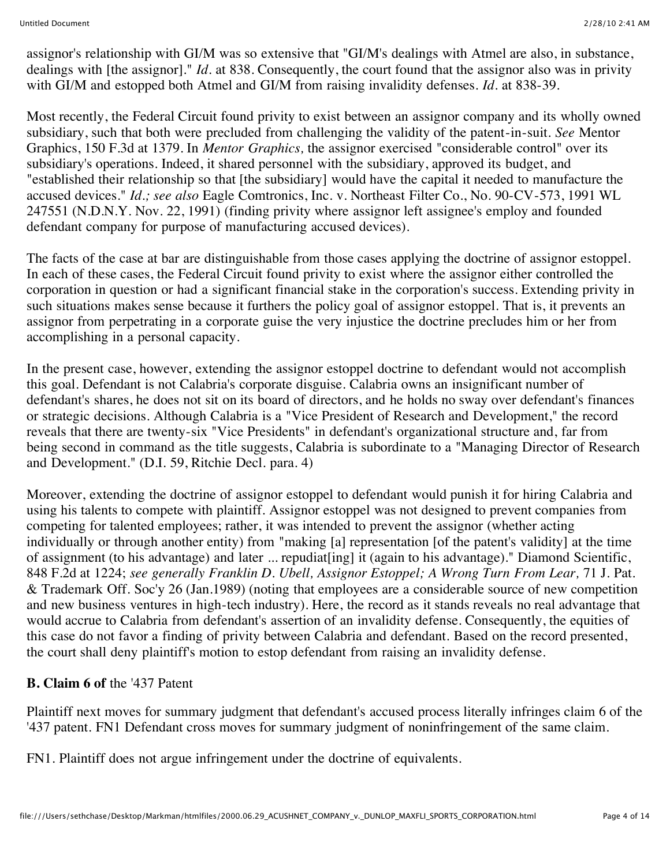assignor's relationship with GI/M was so extensive that "GI/M's dealings with Atmel are also, in substance, dealings with [the assignor]." *Id.* at 838. Consequently, the court found that the assignor also was in privity with GI/M and estopped both Atmel and GI/M from raising invalidity defenses. *Id.* at 838-39.

Most recently, the Federal Circuit found privity to exist between an assignor company and its wholly owned subsidiary, such that both were precluded from challenging the validity of the patent-in-suit. *See* Mentor Graphics, 150 F.3d at 1379. In *Mentor Graphics,* the assignor exercised "considerable control" over its subsidiary's operations. Indeed, it shared personnel with the subsidiary, approved its budget, and "established their relationship so that [the subsidiary] would have the capital it needed to manufacture the accused devices." *Id.; see also* Eagle Comtronics, Inc. v. Northeast Filter Co., No. 90-CV-573, 1991 WL 247551 (N.D.N.Y. Nov. 22, 1991) (finding privity where assignor left assignee's employ and founded defendant company for purpose of manufacturing accused devices).

The facts of the case at bar are distinguishable from those cases applying the doctrine of assignor estoppel. In each of these cases, the Federal Circuit found privity to exist where the assignor either controlled the corporation in question or had a significant financial stake in the corporation's success. Extending privity in such situations makes sense because it furthers the policy goal of assignor estoppel. That is, it prevents an assignor from perpetrating in a corporate guise the very injustice the doctrine precludes him or her from accomplishing in a personal capacity.

In the present case, however, extending the assignor estoppel doctrine to defendant would not accomplish this goal. Defendant is not Calabria's corporate disguise. Calabria owns an insignificant number of defendant's shares, he does not sit on its board of directors, and he holds no sway over defendant's finances or strategic decisions. Although Calabria is a "Vice President of Research and Development," the record reveals that there are twenty-six "Vice Presidents" in defendant's organizational structure and, far from being second in command as the title suggests, Calabria is subordinate to a "Managing Director of Research and Development." (D.I. 59, Ritchie Decl. para. 4)

Moreover, extending the doctrine of assignor estoppel to defendant would punish it for hiring Calabria and using his talents to compete with plaintiff. Assignor estoppel was not designed to prevent companies from competing for talented employees; rather, it was intended to prevent the assignor (whether acting individually or through another entity) from "making [a] representation [of the patent's validity] at the time of assignment (to his advantage) and later ... repudiat[ing] it (again to his advantage)." Diamond Scientific, 848 F.2d at 1224; *see generally Franklin D. Ubell, Assignor Estoppel; A Wrong Turn From Lear,* 71 J. Pat. & Trademark Off. Soc'y 26 (Jan.1989) (noting that employees are a considerable source of new competition and new business ventures in high-tech industry). Here, the record as it stands reveals no real advantage that would accrue to Calabria from defendant's assertion of an invalidity defense. Consequently, the equities of this case do not favor a finding of privity between Calabria and defendant. Based on the record presented, the court shall deny plaintiff's motion to estop defendant from raising an invalidity defense.

# **B. Claim 6 of** the '437 Patent

Plaintiff next moves for summary judgment that defendant's accused process literally infringes claim 6 of the '437 patent. FN1 Defendant cross moves for summary judgment of noninfringement of the same claim.

FN1. Plaintiff does not argue infringement under the doctrine of equivalents.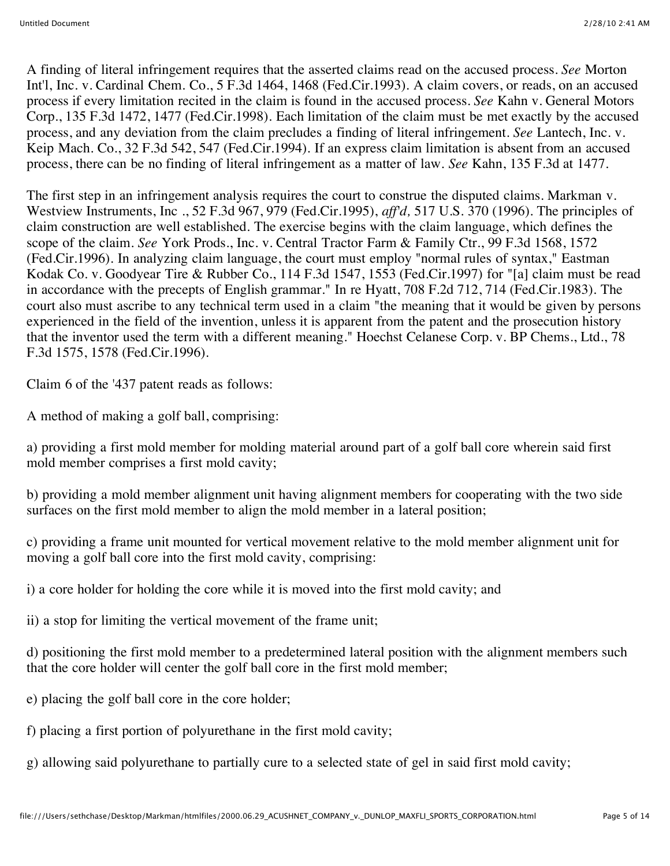A finding of literal infringement requires that the asserted claims read on the accused process. *See* Morton Int'l, Inc. v. Cardinal Chem. Co., 5 F.3d 1464, 1468 (Fed.Cir.1993). A claim covers, or reads, on an accused process if every limitation recited in the claim is found in the accused process. *See* Kahn v. General Motors Corp., 135 F.3d 1472, 1477 (Fed.Cir.1998). Each limitation of the claim must be met exactly by the accused process, and any deviation from the claim precludes a finding of literal infringement. *See* Lantech, Inc. v. Keip Mach. Co., 32 F.3d 542, 547 (Fed.Cir.1994). If an express claim limitation is absent from an accused process, there can be no finding of literal infringement as a matter of law. *See* Kahn, 135 F.3d at 1477.

The first step in an infringement analysis requires the court to construe the disputed claims. Markman v. Westview Instruments, Inc ., 52 F.3d 967, 979 (Fed.Cir.1995), *aff'd,* 517 U.S. 370 (1996). The principles of claim construction are well established. The exercise begins with the claim language, which defines the scope of the claim. *See* York Prods., Inc. v. Central Tractor Farm & Family Ctr., 99 F.3d 1568, 1572 (Fed.Cir.1996). In analyzing claim language, the court must employ "normal rules of syntax," Eastman Kodak Co. v. Goodyear Tire & Rubber Co., 114 F.3d 1547, 1553 (Fed.Cir.1997) for "[a] claim must be read in accordance with the precepts of English grammar." In re Hyatt, 708 F.2d 712, 714 (Fed.Cir.1983). The court also must ascribe to any technical term used in a claim "the meaning that it would be given by persons experienced in the field of the invention, unless it is apparent from the patent and the prosecution history that the inventor used the term with a different meaning." Hoechst Celanese Corp. v. BP Chems., Ltd., 78 F.3d 1575, 1578 (Fed.Cir.1996).

Claim 6 of the '437 patent reads as follows:

A method of making a golf ball, comprising:

a) providing a first mold member for molding material around part of a golf ball core wherein said first mold member comprises a first mold cavity;

b) providing a mold member alignment unit having alignment members for cooperating with the two side surfaces on the first mold member to align the mold member in a lateral position;

c) providing a frame unit mounted for vertical movement relative to the mold member alignment unit for moving a golf ball core into the first mold cavity, comprising:

i) a core holder for holding the core while it is moved into the first mold cavity; and

ii) a stop for limiting the vertical movement of the frame unit;

d) positioning the first mold member to a predetermined lateral position with the alignment members such that the core holder will center the golf ball core in the first mold member;

e) placing the golf ball core in the core holder;

f) placing a first portion of polyurethane in the first mold cavity;

g) allowing said polyurethane to partially cure to a selected state of gel in said first mold cavity;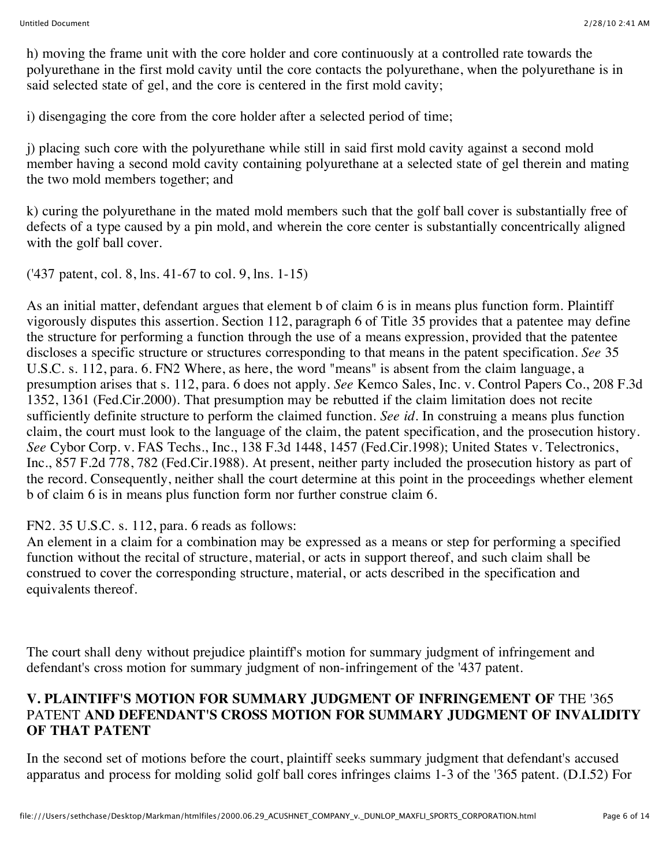h) moving the frame unit with the core holder and core continuously at a controlled rate towards the polyurethane in the first mold cavity until the core contacts the polyurethane, when the polyurethane is in said selected state of gel, and the core is centered in the first mold cavity;

i) disengaging the core from the core holder after a selected period of time;

j) placing such core with the polyurethane while still in said first mold cavity against a second mold member having a second mold cavity containing polyurethane at a selected state of gel therein and mating the two mold members together; and

k) curing the polyurethane in the mated mold members such that the golf ball cover is substantially free of defects of a type caused by a pin mold, and wherein the core center is substantially concentrically aligned with the golf ball cover.

('437 patent, col. 8, lns. 41-67 to col. 9, lns. 1-15)

As an initial matter, defendant argues that element b of claim 6 is in means plus function form. Plaintiff vigorously disputes this assertion. Section 112, paragraph 6 of Title 35 provides that a patentee may define the structure for performing a function through the use of a means expression, provided that the patentee discloses a specific structure or structures corresponding to that means in the patent specification. *See* 35 U.S.C. s. 112, para. 6. FN2 Where, as here, the word "means" is absent from the claim language, a presumption arises that s. 112, para. 6 does not apply. *See* Kemco Sales, Inc. v. Control Papers Co., 208 F.3d 1352, 1361 (Fed.Cir.2000). That presumption may be rebutted if the claim limitation does not recite sufficiently definite structure to perform the claimed function. *See id.* In construing a means plus function claim, the court must look to the language of the claim, the patent specification, and the prosecution history. *See* Cybor Corp. v. FAS Techs., Inc., 138 F.3d 1448, 1457 (Fed.Cir.1998); United States v. Telectronics, Inc., 857 F.2d 778, 782 (Fed.Cir.1988). At present, neither party included the prosecution history as part of the record. Consequently, neither shall the court determine at this point in the proceedings whether element b of claim 6 is in means plus function form nor further construe claim 6.

# FN2. 35 U.S.C. s. 112, para. 6 reads as follows:

An element in a claim for a combination may be expressed as a means or step for performing a specified function without the recital of structure, material, or acts in support thereof, and such claim shall be construed to cover the corresponding structure, material, or acts described in the specification and equivalents thereof.

The court shall deny without prejudice plaintiff's motion for summary judgment of infringement and defendant's cross motion for summary judgment of non-infringement of the '437 patent.

## **V. PLAINTIFF'S MOTION FOR SUMMARY JUDGMENT OF INFRINGEMENT OF** THE '365 PATENT **AND DEFENDANT'S CROSS MOTION FOR SUMMARY JUDGMENT OF INVALIDITY OF THAT PATENT**

In the second set of motions before the court, plaintiff seeks summary judgment that defendant's accused apparatus and process for molding solid golf ball cores infringes claims 1-3 of the '365 patent. (D.I.52) For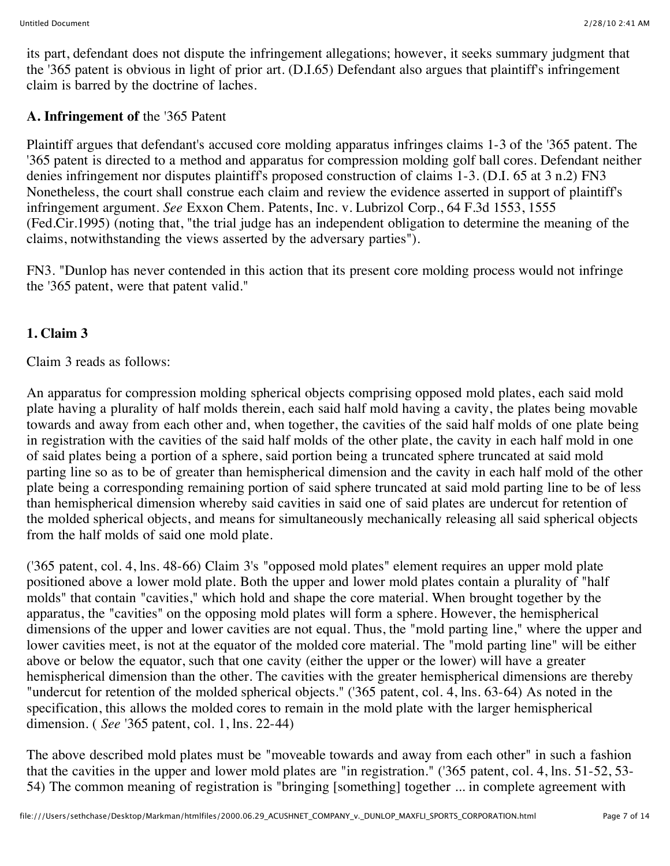its part, defendant does not dispute the infringement allegations; however, it seeks summary judgment that the '365 patent is obvious in light of prior art. (D.I.65) Defendant also argues that plaintiff's infringement claim is barred by the doctrine of laches.

# **A. Infringement of** the '365 Patent

Plaintiff argues that defendant's accused core molding apparatus infringes claims 1-3 of the '365 patent. The '365 patent is directed to a method and apparatus for compression molding golf ball cores. Defendant neither denies infringement nor disputes plaintiff's proposed construction of claims 1-3. (D.I. 65 at 3 n.2) FN3 Nonetheless, the court shall construe each claim and review the evidence asserted in support of plaintiff's infringement argument. *See* Exxon Chem. Patents, Inc. v. Lubrizol Corp., 64 F.3d 1553, 1555 (Fed.Cir.1995) (noting that, "the trial judge has an independent obligation to determine the meaning of the claims, notwithstanding the views asserted by the adversary parties").

FN3. "Dunlop has never contended in this action that its present core molding process would not infringe the '365 patent, were that patent valid."

# **1. Claim 3**

Claim 3 reads as follows:

An apparatus for compression molding spherical objects comprising opposed mold plates, each said mold plate having a plurality of half molds therein, each said half mold having a cavity, the plates being movable towards and away from each other and, when together, the cavities of the said half molds of one plate being in registration with the cavities of the said half molds of the other plate, the cavity in each half mold in one of said plates being a portion of a sphere, said portion being a truncated sphere truncated at said mold parting line so as to be of greater than hemispherical dimension and the cavity in each half mold of the other plate being a corresponding remaining portion of said sphere truncated at said mold parting line to be of less than hemispherical dimension whereby said cavities in said one of said plates are undercut for retention of the molded spherical objects, and means for simultaneously mechanically releasing all said spherical objects from the half molds of said one mold plate.

('365 patent, col. 4, lns. 48-66) Claim 3's "opposed mold plates" element requires an upper mold plate positioned above a lower mold plate. Both the upper and lower mold plates contain a plurality of "half molds" that contain "cavities," which hold and shape the core material. When brought together by the apparatus, the "cavities" on the opposing mold plates will form a sphere. However, the hemispherical dimensions of the upper and lower cavities are not equal. Thus, the "mold parting line," where the upper and lower cavities meet, is not at the equator of the molded core material. The "mold parting line" will be either above or below the equator, such that one cavity (either the upper or the lower) will have a greater hemispherical dimension than the other. The cavities with the greater hemispherical dimensions are thereby "undercut for retention of the molded spherical objects." ('365 patent, col. 4, lns. 63-64) As noted in the specification, this allows the molded cores to remain in the mold plate with the larger hemispherical dimension. ( *See* '365 patent, col. 1, lns. 22-44)

The above described mold plates must be "moveable towards and away from each other" in such a fashion that the cavities in the upper and lower mold plates are "in registration." ('365 patent, col. 4, lns. 51-52, 53- 54) The common meaning of registration is "bringing [something] together ... in complete agreement with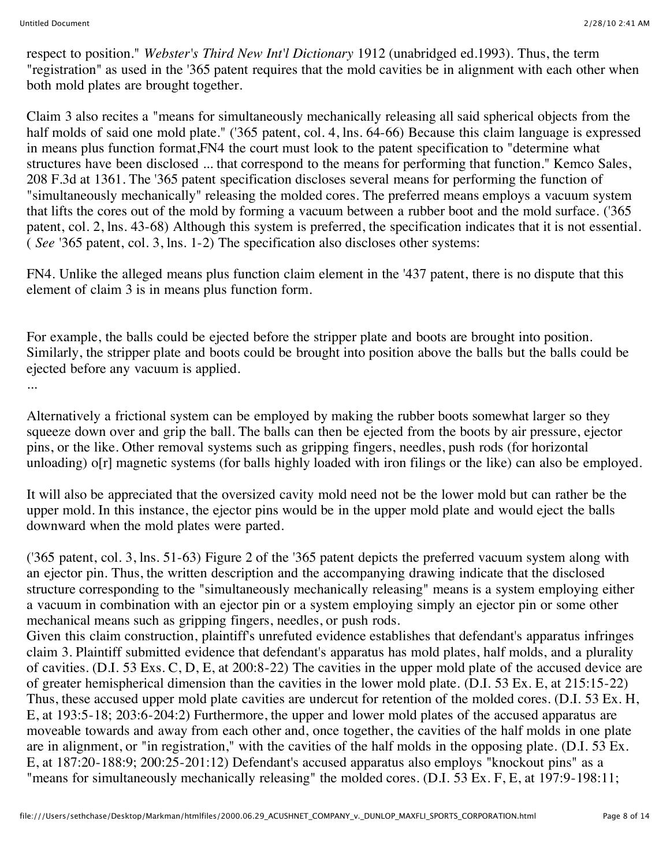respect to position." *Webster's Third New Int'l Dictionary* 1912 (unabridged ed.1993). Thus, the term "registration" as used in the '365 patent requires that the mold cavities be in alignment with each other when both mold plates are brought together.

Claim 3 also recites a "means for simultaneously mechanically releasing all said spherical objects from the half molds of said one mold plate." ('365 patent, col. 4, lns. 64-66) Because this claim language is expressed in means plus function format,FN4 the court must look to the patent specification to "determine what structures have been disclosed ... that correspond to the means for performing that function." Kemco Sales, 208 F.3d at 1361. The '365 patent specification discloses several means for performing the function of "simultaneously mechanically" releasing the molded cores. The preferred means employs a vacuum system that lifts the cores out of the mold by forming a vacuum between a rubber boot and the mold surface. ('365 patent, col. 2, lns. 43-68) Although this system is preferred, the specification indicates that it is not essential. ( *See* '365 patent, col. 3, lns. 1-2) The specification also discloses other systems:

FN4. Unlike the alleged means plus function claim element in the '437 patent, there is no dispute that this element of claim 3 is in means plus function form.

For example, the balls could be ejected before the stripper plate and boots are brought into position. Similarly, the stripper plate and boots could be brought into position above the balls but the balls could be ejected before any vacuum is applied.

...

Alternatively a frictional system can be employed by making the rubber boots somewhat larger so they squeeze down over and grip the ball. The balls can then be ejected from the boots by air pressure, ejector pins, or the like. Other removal systems such as gripping fingers, needles, push rods (for horizontal unloading) o[r] magnetic systems (for balls highly loaded with iron filings or the like) can also be employed.

It will also be appreciated that the oversized cavity mold need not be the lower mold but can rather be the upper mold. In this instance, the ejector pins would be in the upper mold plate and would eject the balls downward when the mold plates were parted.

('365 patent, col. 3, lns. 51-63) Figure 2 of the '365 patent depicts the preferred vacuum system along with an ejector pin. Thus, the written description and the accompanying drawing indicate that the disclosed structure corresponding to the "simultaneously mechanically releasing" means is a system employing either a vacuum in combination with an ejector pin or a system employing simply an ejector pin or some other mechanical means such as gripping fingers, needles, or push rods.

Given this claim construction, plaintiff's unrefuted evidence establishes that defendant's apparatus infringes claim 3. Plaintiff submitted evidence that defendant's apparatus has mold plates, half molds, and a plurality of cavities. (D.I. 53 Exs. C, D, E, at 200:8-22) The cavities in the upper mold plate of the accused device are of greater hemispherical dimension than the cavities in the lower mold plate. (D.I. 53 Ex. E, at 215:15-22) Thus, these accused upper mold plate cavities are undercut for retention of the molded cores. (D.I. 53 Ex. H, E, at 193:5-18; 203:6-204:2) Furthermore, the upper and lower mold plates of the accused apparatus are moveable towards and away from each other and, once together, the cavities of the half molds in one plate are in alignment, or "in registration," with the cavities of the half molds in the opposing plate. (D.I. 53 Ex. E, at 187:20-188:9; 200:25-201:12) Defendant's accused apparatus also employs "knockout pins" as a "means for simultaneously mechanically releasing" the molded cores. (D.I. 53 Ex. F, E, at 197:9-198:11;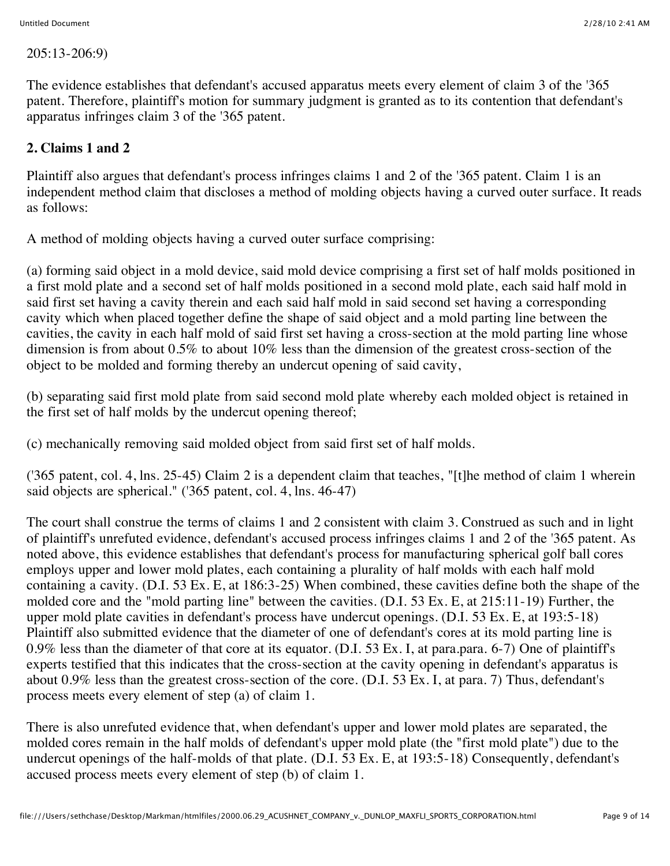205:13-206:9)

The evidence establishes that defendant's accused apparatus meets every element of claim 3 of the '365 patent. Therefore, plaintiff's motion for summary judgment is granted as to its contention that defendant's apparatus infringes claim 3 of the '365 patent.

# **2. Claims 1 and 2**

Plaintiff also argues that defendant's process infringes claims 1 and 2 of the '365 patent. Claim 1 is an independent method claim that discloses a method of molding objects having a curved outer surface. It reads as follows:

A method of molding objects having a curved outer surface comprising:

(a) forming said object in a mold device, said mold device comprising a first set of half molds positioned in a first mold plate and a second set of half molds positioned in a second mold plate, each said half mold in said first set having a cavity therein and each said half mold in said second set having a corresponding cavity which when placed together define the shape of said object and a mold parting line between the cavities, the cavity in each half mold of said first set having a cross-section at the mold parting line whose dimension is from about 0.5% to about 10% less than the dimension of the greatest cross-section of the object to be molded and forming thereby an undercut opening of said cavity,

(b) separating said first mold plate from said second mold plate whereby each molded object is retained in the first set of half molds by the undercut opening thereof;

(c) mechanically removing said molded object from said first set of half molds.

('365 patent, col. 4, lns. 25-45) Claim 2 is a dependent claim that teaches, "[t]he method of claim 1 wherein said objects are spherical." ('365 patent, col. 4, lns. 46-47)

The court shall construe the terms of claims 1 and 2 consistent with claim 3. Construed as such and in light of plaintiff's unrefuted evidence, defendant's accused process infringes claims 1 and 2 of the '365 patent. As noted above, this evidence establishes that defendant's process for manufacturing spherical golf ball cores employs upper and lower mold plates, each containing a plurality of half molds with each half mold containing a cavity. (D.I. 53 Ex. E, at 186:3-25) When combined, these cavities define both the shape of the molded core and the "mold parting line" between the cavities. (D.I. 53 Ex. E, at 215:11-19) Further, the upper mold plate cavities in defendant's process have undercut openings. (D.I. 53 Ex. E, at 193:5-18) Plaintiff also submitted evidence that the diameter of one of defendant's cores at its mold parting line is 0.9% less than the diameter of that core at its equator. (D.I. 53 Ex. I, at para.para. 6-7) One of plaintiff's experts testified that this indicates that the cross-section at the cavity opening in defendant's apparatus is about 0.9% less than the greatest cross-section of the core. (D.I. 53 Ex. I, at para. 7) Thus, defendant's process meets every element of step (a) of claim 1.

There is also unrefuted evidence that, when defendant's upper and lower mold plates are separated, the molded cores remain in the half molds of defendant's upper mold plate (the "first mold plate") due to the undercut openings of the half-molds of that plate. (D.I. 53 Ex. E, at 193:5-18) Consequently, defendant's accused process meets every element of step (b) of claim 1.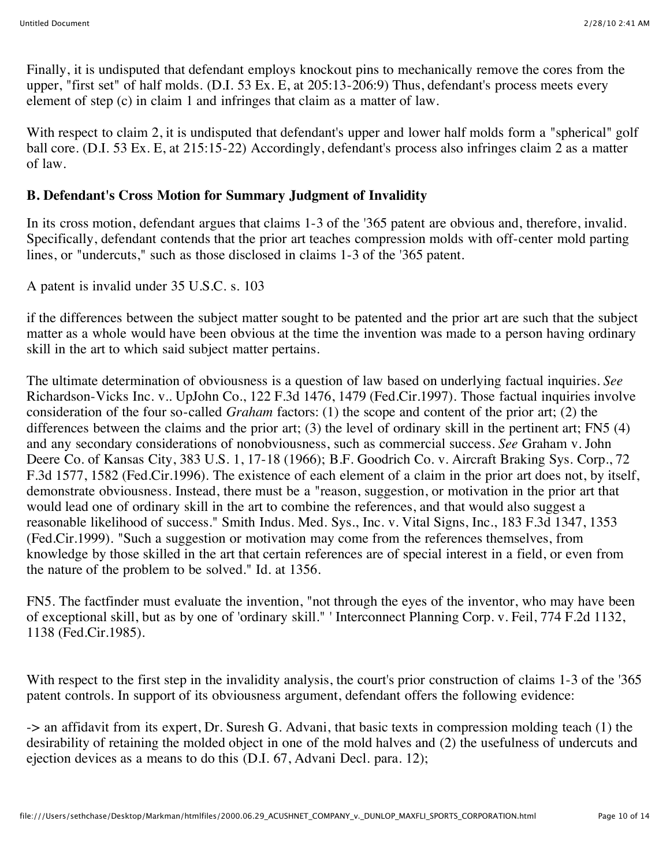Finally, it is undisputed that defendant employs knockout pins to mechanically remove the cores from the upper, "first set" of half molds. (D.I. 53 Ex. E, at 205:13-206:9) Thus, defendant's process meets every element of step (c) in claim 1 and infringes that claim as a matter of law.

With respect to claim 2, it is undisputed that defendant's upper and lower half molds form a "spherical" golf ball core. (D.I. 53 Ex. E, at 215:15-22) Accordingly, defendant's process also infringes claim 2 as a matter of law.

# **B. Defendant's Cross Motion for Summary Judgment of Invalidity**

In its cross motion, defendant argues that claims 1-3 of the '365 patent are obvious and, therefore, invalid. Specifically, defendant contends that the prior art teaches compression molds with off-center mold parting lines, or "undercuts," such as those disclosed in claims 1-3 of the '365 patent.

A patent is invalid under 35 U.S.C. s. 103

if the differences between the subject matter sought to be patented and the prior art are such that the subject matter as a whole would have been obvious at the time the invention was made to a person having ordinary skill in the art to which said subject matter pertains.

The ultimate determination of obviousness is a question of law based on underlying factual inquiries. *See* Richardson-Vicks Inc. v.. UpJohn Co., 122 F.3d 1476, 1479 (Fed.Cir.1997). Those factual inquiries involve consideration of the four so-called *Graham* factors: (1) the scope and content of the prior art; (2) the differences between the claims and the prior art; (3) the level of ordinary skill in the pertinent art; FN5 (4) and any secondary considerations of nonobviousness, such as commercial success. *See* Graham v. John Deere Co. of Kansas City, 383 U.S. 1, 17-18 (1966); B.F. Goodrich Co. v. Aircraft Braking Sys. Corp., 72 F.3d 1577, 1582 (Fed.Cir.1996). The existence of each element of a claim in the prior art does not, by itself, demonstrate obviousness. Instead, there must be a "reason, suggestion, or motivation in the prior art that would lead one of ordinary skill in the art to combine the references, and that would also suggest a reasonable likelihood of success." Smith Indus. Med. Sys., Inc. v. Vital Signs, Inc., 183 F.3d 1347, 1353 (Fed.Cir.1999). "Such a suggestion or motivation may come from the references themselves, from knowledge by those skilled in the art that certain references are of special interest in a field, or even from the nature of the problem to be solved." Id. at 1356.

FN5. The factfinder must evaluate the invention, "not through the eyes of the inventor, who may have been of exceptional skill, but as by one of 'ordinary skill." ' Interconnect Planning Corp. v. Feil, 774 F.2d 1132, 1138 (Fed.Cir.1985).

With respect to the first step in the invalidity analysis, the court's prior construction of claims 1-3 of the '365 patent controls. In support of its obviousness argument, defendant offers the following evidence:

-> an affidavit from its expert, Dr. Suresh G. Advani, that basic texts in compression molding teach (1) the desirability of retaining the molded object in one of the mold halves and (2) the usefulness of undercuts and ejection devices as a means to do this (D.I. 67, Advani Decl. para. 12);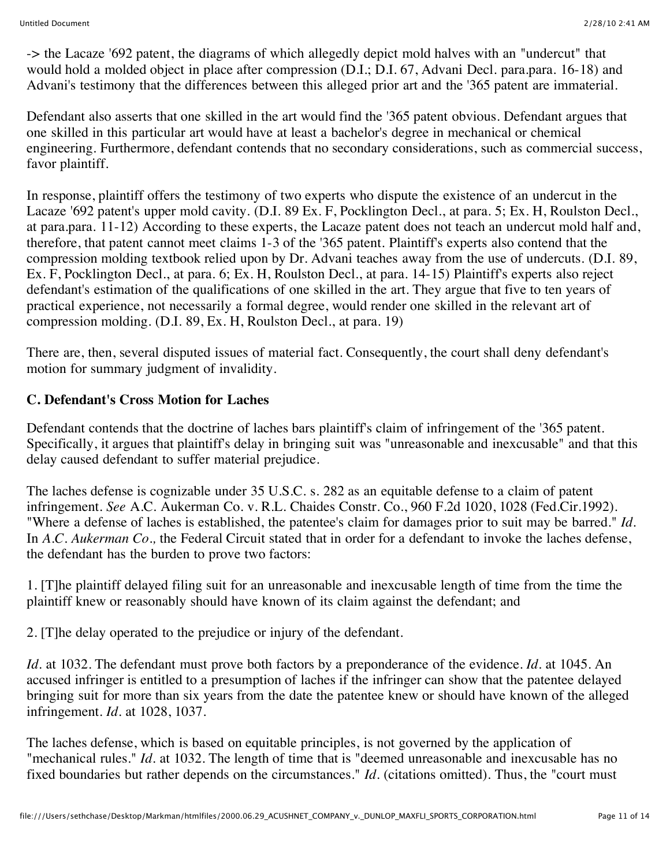-> the Lacaze '692 patent, the diagrams of which allegedly depict mold halves with an "undercut" that would hold a molded object in place after compression (D.I.; D.I. 67, Advani Decl. para.para. 16-18) and Advani's testimony that the differences between this alleged prior art and the '365 patent are immaterial.

Defendant also asserts that one skilled in the art would find the '365 patent obvious. Defendant argues that one skilled in this particular art would have at least a bachelor's degree in mechanical or chemical engineering. Furthermore, defendant contends that no secondary considerations, such as commercial success, favor plaintiff.

In response, plaintiff offers the testimony of two experts who dispute the existence of an undercut in the Lacaze '692 patent's upper mold cavity. (D.I. 89 Ex. F, Pocklington Decl., at para. 5; Ex. H, Roulston Decl., at para.para. 11-12) According to these experts, the Lacaze patent does not teach an undercut mold half and, therefore, that patent cannot meet claims 1-3 of the '365 patent. Plaintiff's experts also contend that the compression molding textbook relied upon by Dr. Advani teaches away from the use of undercuts. (D.I. 89, Ex. F, Pocklington Decl., at para. 6; Ex. H, Roulston Decl., at para. 14-15) Plaintiff's experts also reject defendant's estimation of the qualifications of one skilled in the art. They argue that five to ten years of practical experience, not necessarily a formal degree, would render one skilled in the relevant art of compression molding. (D.I. 89, Ex. H, Roulston Decl., at para. 19)

There are, then, several disputed issues of material fact. Consequently, the court shall deny defendant's motion for summary judgment of invalidity.

## **C. Defendant's Cross Motion for Laches**

Defendant contends that the doctrine of laches bars plaintiff's claim of infringement of the '365 patent. Specifically, it argues that plaintiff's delay in bringing suit was "unreasonable and inexcusable" and that this delay caused defendant to suffer material prejudice.

The laches defense is cognizable under 35 U.S.C. s. 282 as an equitable defense to a claim of patent infringement. *See* A.C. Aukerman Co. v. R.L. Chaides Constr. Co., 960 F.2d 1020, 1028 (Fed.Cir.1992). "Where a defense of laches is established, the patentee's claim for damages prior to suit may be barred." *Id.* In *A.C. Aukerman Co.,* the Federal Circuit stated that in order for a defendant to invoke the laches defense, the defendant has the burden to prove two factors:

1. [T]he plaintiff delayed filing suit for an unreasonable and inexcusable length of time from the time the plaintiff knew or reasonably should have known of its claim against the defendant; and

2. [T]he delay operated to the prejudice or injury of the defendant.

*Id.* at 1032. The defendant must prove both factors by a preponderance of the evidence. *Id.* at 1045. An accused infringer is entitled to a presumption of laches if the infringer can show that the patentee delayed bringing suit for more than six years from the date the patentee knew or should have known of the alleged infringement. *Id.* at 1028, 1037.

The laches defense, which is based on equitable principles, is not governed by the application of "mechanical rules." *Id.* at 1032. The length of time that is "deemed unreasonable and inexcusable has no fixed boundaries but rather depends on the circumstances." *Id.* (citations omitted). Thus, the "court must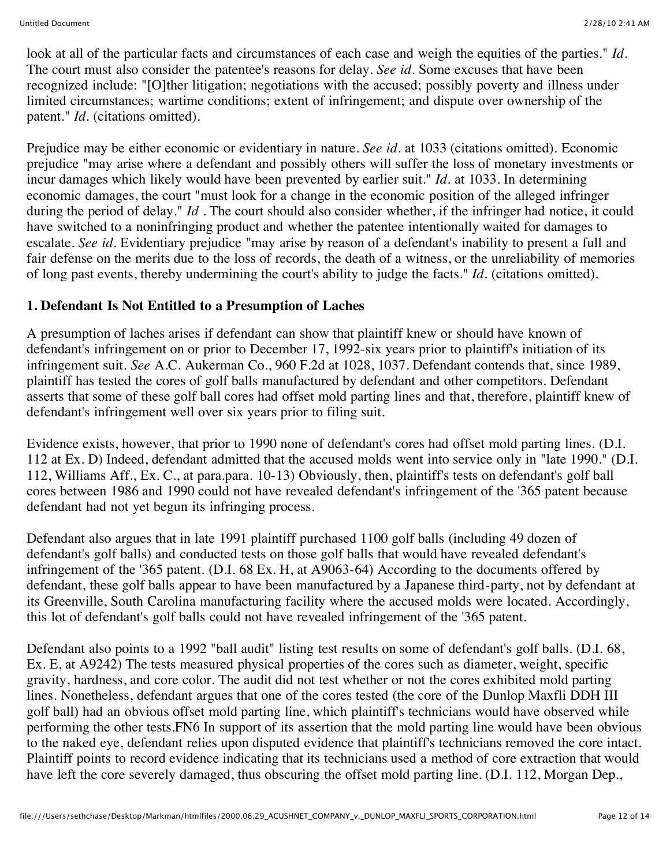look at all of the particular facts and circumstances of each case and weigh the equities of the parties." *Id.* The court must also consider the patentee's reasons for delay. *See id.* Some excuses that have been recognized include: "[O]ther litigation; negotiations with the accused; possibly poverty and illness under limited circumstances; wartime conditions; extent of infringement; and dispute over ownership of the patent." *Id.* (citations omitted).

Prejudice may be either economic or evidentiary in nature. *See id.* at 1033 (citations omitted). Economic prejudice "may arise where a defendant and possibly others will suffer the loss of monetary investments or incur damages which likely would have been prevented by earlier suit." *Id.* at 1033. In determining economic damages, the court "must look for a change in the economic position of the alleged infringer during the period of delay." *Id*. The court should also consider whether, if the infringer had notice, it could have switched to a noninfringing product and whether the patentee intentionally waited for damages to escalate. *See id.* Evidentiary prejudice "may arise by reason of a defendant's inability to present a full and fair defense on the merits due to the loss of records, the death of a witness, or the unreliability of memories of long past events, thereby undermining the court's ability to judge the facts." *Id.* (citations omitted).

## **1. Defendant Is Not Entitled to a Presumption of Laches**

A presumption of laches arises if defendant can show that plaintiff knew or should have known of defendant's infringement on or prior to December 17, 1992-six years prior to plaintiff's initiation of its infringement suit. *See* A.C. Aukerman Co., 960 F.2d at 1028, 1037. Defendant contends that, since 1989, plaintiff has tested the cores of golf balls manufactured by defendant and other competitors. Defendant asserts that some of these golf ball cores had offset mold parting lines and that, therefore, plaintiff knew of defendant's infringement well over six years prior to filing suit.

Evidence exists, however, that prior to 1990 none of defendant's cores had offset mold parting lines. (D.I. 112 at Ex. D) Indeed, defendant admitted that the accused molds went into service only in "late 1990." (D.I. 112, Williams Aff., Ex. C., at para.para. 10-13) Obviously, then, plaintiff's tests on defendant's golf ball cores between 1986 and 1990 could not have revealed defendant's infringement of the '365 patent because defendant had not yet begun its infringing process.

Defendant also argues that in late 1991 plaintiff purchased 1100 golf balls (including 49 dozen of defendant's golf balls) and conducted tests on those golf balls that would have revealed defendant's infringement of the '365 patent. (D.I. 68 Ex. H, at A9063-64) According to the documents offered by defendant, these golf balls appear to have been manufactured by a Japanese third-party, not by defendant at its Greenville, South Carolina manufacturing facility where the accused molds were located. Accordingly, this lot of defendant's golf balls could not have revealed infringement of the '365 patent.

Defendant also points to a 1992 "ball audit" listing test results on some of defendant's golf balls. (D.I. 68, Ex. E, at A9242) The tests measured physical properties of the cores such as diameter, weight, specific gravity, hardness, and core color. The audit did not test whether or not the cores exhibited mold parting lines. Nonetheless, defendant argues that one of the cores tested (the core of the Dunlop Maxfli DDH III golf ball) had an obvious offset mold parting line, which plaintiff's technicians would have observed while performing the other tests.FN6 In support of its assertion that the mold parting line would have been obvious to the naked eye, defendant relies upon disputed evidence that plaintiff's technicians removed the core intact. Plaintiff points to record evidence indicating that its technicians used a method of core extraction that would have left the core severely damaged, thus obscuring the offset mold parting line. (D.I. 112, Morgan Dep.,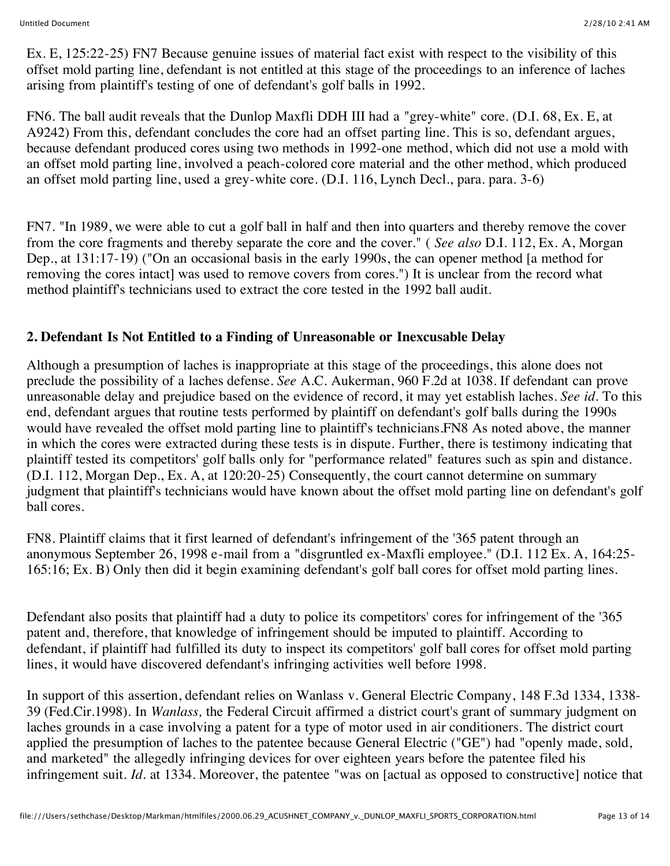Ex. E, 125:22-25) FN7 Because genuine issues of material fact exist with respect to the visibility of this offset mold parting line, defendant is not entitled at this stage of the proceedings to an inference of laches arising from plaintiff's testing of one of defendant's golf balls in 1992.

FN6. The ball audit reveals that the Dunlop Maxfli DDH III had a "grey-white" core. (D.I. 68, Ex. E, at A9242) From this, defendant concludes the core had an offset parting line. This is so, defendant argues, because defendant produced cores using two methods in 1992-one method, which did not use a mold with an offset mold parting line, involved a peach-colored core material and the other method, which produced an offset mold parting line, used a grey-white core. (D.I. 116, Lynch Decl., para. para. 3-6)

FN7. "In 1989, we were able to cut a golf ball in half and then into quarters and thereby remove the cover from the core fragments and thereby separate the core and the cover." ( *See also* D.I. 112, Ex. A, Morgan Dep., at 131:17-19) ("On an occasional basis in the early 1990s, the can opener method [a method for removing the cores intact] was used to remove covers from cores.") It is unclear from the record what method plaintiff's technicians used to extract the core tested in the 1992 ball audit.

## **2. Defendant Is Not Entitled to a Finding of Unreasonable or Inexcusable Delay**

Although a presumption of laches is inappropriate at this stage of the proceedings, this alone does not preclude the possibility of a laches defense. *See* A.C. Aukerman, 960 F.2d at 1038. If defendant can prove unreasonable delay and prejudice based on the evidence of record, it may yet establish laches. *See id.* To this end, defendant argues that routine tests performed by plaintiff on defendant's golf balls during the 1990s would have revealed the offset mold parting line to plaintiff's technicians.FN8 As noted above, the manner in which the cores were extracted during these tests is in dispute. Further, there is testimony indicating that plaintiff tested its competitors' golf balls only for "performance related" features such as spin and distance. (D.I. 112, Morgan Dep., Ex. A, at 120:20-25) Consequently, the court cannot determine on summary judgment that plaintiff's technicians would have known about the offset mold parting line on defendant's golf ball cores.

FN8. Plaintiff claims that it first learned of defendant's infringement of the '365 patent through an anonymous September 26, 1998 e-mail from a "disgruntled ex-Maxfli employee." (D.I. 112 Ex. A, 164:25- 165:16; Ex. B) Only then did it begin examining defendant's golf ball cores for offset mold parting lines.

Defendant also posits that plaintiff had a duty to police its competitors' cores for infringement of the '365 patent and, therefore, that knowledge of infringement should be imputed to plaintiff. According to defendant, if plaintiff had fulfilled its duty to inspect its competitors' golf ball cores for offset mold parting lines, it would have discovered defendant's infringing activities well before 1998.

In support of this assertion, defendant relies on Wanlass v. General Electric Company, 148 F.3d 1334, 1338- 39 (Fed.Cir.1998). In *Wanlass,* the Federal Circuit affirmed a district court's grant of summary judgment on laches grounds in a case involving a patent for a type of motor used in air conditioners. The district court applied the presumption of laches to the patentee because General Electric ("GE") had "openly made, sold, and marketed" the allegedly infringing devices for over eighteen years before the patentee filed his infringement suit. *Id.* at 1334. Moreover, the patentee "was on [actual as opposed to constructive] notice that